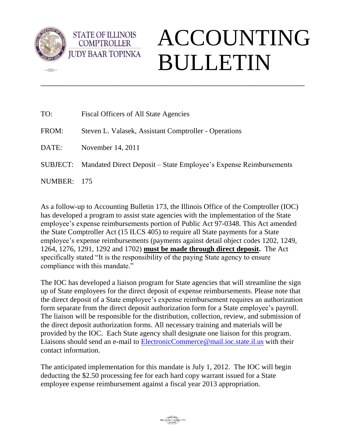

**CERN** 

**STATE OF ILLINOIS COMPTROLLER** 

## ACCOUNTING BULLETIN

| TO:         | Fiscal Officers of All State Agencies                                      |
|-------------|----------------------------------------------------------------------------|
| FROM:       | Steven L. Valasek, Assistant Comptroller - Operations                      |
| DATE:       | November 14, 2011                                                          |
|             | SUBJECT: Mandated Direct Deposit – State Employee's Expense Reimbursements |
| NUMBER: 175 |                                                                            |

\_\_\_\_\_\_\_\_\_\_\_\_\_\_\_\_\_\_\_\_\_\_\_\_\_\_\_\_\_\_\_\_\_\_\_\_\_\_\_\_\_\_\_\_\_\_\_\_\_\_\_\_\_\_\_\_\_\_\_\_\_\_\_\_\_\_\_\_\_\_

As a follow-up to Accounting Bulletin 173, the Illinois Office of the Comptroller (IOC) has developed a program to assist state agencies with the implementation of the State employee's expense reimbursements portion of Public Act 97-0348. This Act amended the State Comptroller Act (15 ILCS 405) to require all State payments for a State employee's expense reimbursements (payments against detail object codes 1202, 1249, 1264, 1276, 1291, 1292 and 1702) **must be made through direct deposit.** The Act specifically stated "It is the responsibility of the paying State agency to ensure compliance with this mandate."

The IOC has developed a liaison program for State agencies that will streamline the sign up of State employees for the direct deposit of expense reimbursements. Please note that the direct deposit of a State employee's expense reimbursement requires an authorization form separate from the direct deposit authorization form for a State employee's payroll. The liaison will be responsible for the distribution, collection, review, and submission of the direct deposit authorization forms. All necessary training and materials will be provided by the IOC. Each State agency shall designate one liaison for this program. Liaisons should send an e-mail to [ElectronicCommerce@mail.ioc.state.il.us](mailto:ElectronicCommerce@mail.ioc.state.il.us) with their contact information.

The anticipated implementation for this mandate is July 1, 2012. The IOC will begin deducting the \$2.50 processing fee for each hard copy warrant issued for a State employee expense reimbursement against a fiscal year 2013 appropriation.